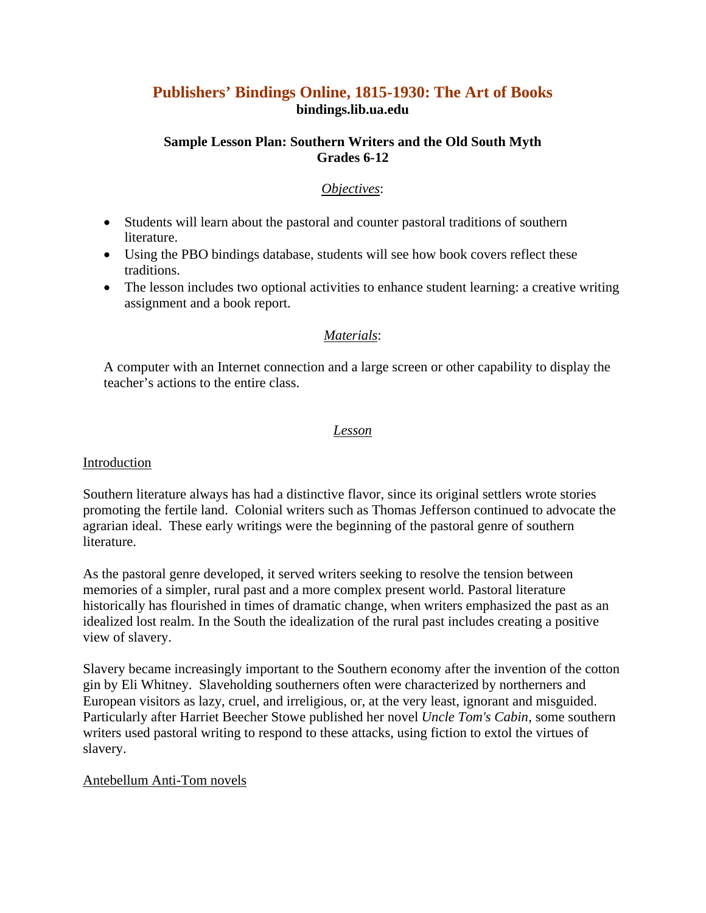# **Publishers' Bindings Online, 1815-1930: The Art of Books bindings.lib.ua.edu**

### **Sample Lesson Plan: Southern Writers and the Old South Myth Grades 6-12**

### *Objectives*:

- Students will learn about the pastoral and counter pastoral traditions of southern literature.
- Using the PBO bindings database, students will see how book covers reflect these traditions.
- The lesson includes two optional activities to enhance student learning: a creative writing assignment and a book report.

# *Materials*:

A computer with an Internet connection and a large screen or other capability to display the teacher's actions to the entire class.

#### *Lesson*

#### **Introduction**

Southern literature always has had a distinctive flavor, since its original settlers wrote stories promoting the fertile land. Colonial writers such as Thomas Jefferson continued to advocate the agrarian ideal. These early writings were the beginning of the pastoral genre of southern literature.

As the pastoral genre developed, it served writers seeking to resolve the tension between memories of a simpler, rural past and a more complex present world. Pastoral literature historically has flourished in times of dramatic change, when writers emphasized the past as an idealized lost realm. In the South the idealization of the rural past includes creating a positive view of slavery.

Slavery became increasingly important to the Southern economy after the invention of the cotton gin by Eli Whitney. Slaveholding southerners often were characterized by northerners and European visitors as lazy, cruel, and irreligious, or, at the very least, ignorant and misguided. Particularly after Harriet Beecher Stowe published her novel *Uncle Tom's Cabin*, some southern writers used pastoral writing to respond to these attacks, using fiction to extol the virtues of slavery.

#### Antebellum Anti-Tom novels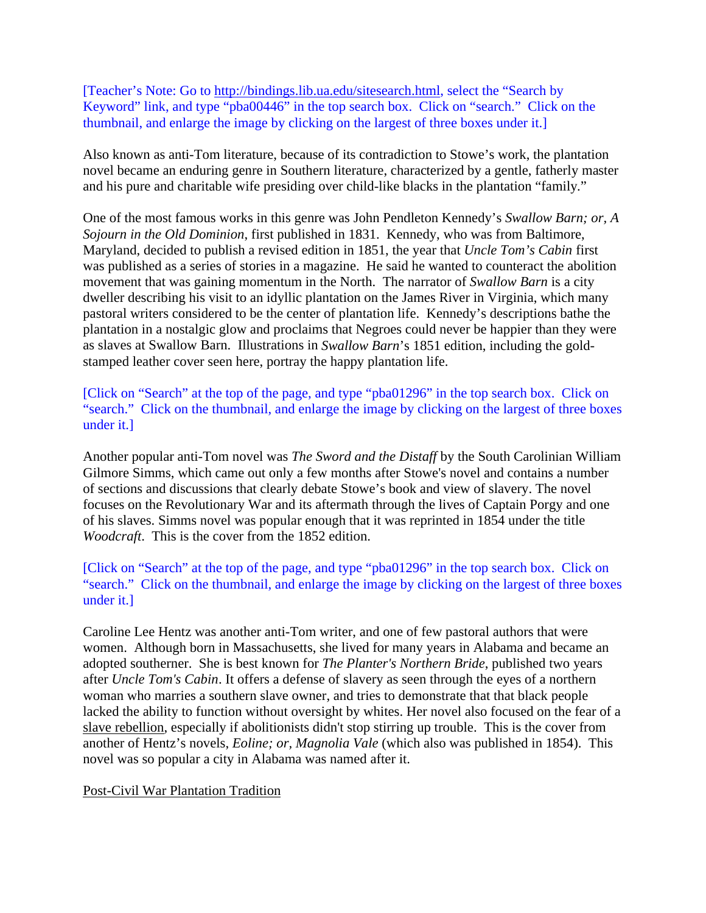[Teacher's Note: Go to http://bindings.lib.ua.edu/sitesearch.html, select the "Search by Keyword" link, and type "pba00446" in the top search box. Click on "search." Click on the thumbnail, and enlarge the image by clicking on the largest of three boxes under it.]

Also known as anti-Tom literature, because of its contradiction to Stowe's work, the plantation novel became an enduring genre in Southern literature, characterized by a gentle, fatherly master and his pure and charitable wife presiding over child-like blacks in the plantation "family."

One of the most famous works in this genre was John Pendleton Kennedy's *Swallow Barn; or, A Sojourn in the Old Dominion*, first published in 1831. Kennedy, who was from Baltimore, Maryland, decided to publish a revised edition in 1851, the year that *Uncle Tom's Cabin* first was published as a series of stories in a magazine. He said he wanted to counteract the abolition movement that was gaining momentum in the North. The narrator of *Swallow Barn* is a city dweller describing his visit to an idyllic plantation on the James River in Virginia, which many pastoral writers considered to be the center of plantation life. Kennedy's descriptions bathe the plantation in a nostalgic glow and proclaims that Negroes could never be happier than they were as slaves at Swallow Barn. Illustrations in *Swallow Barn*'s 1851 edition, including the goldstamped leather cover seen here, portray the happy plantation life.

[Click on "Search" at the top of the page, and type "pba01296" in the top search box. Click on "search." Click on the thumbnail, and enlarge the image by clicking on the largest of three boxes under it.]

Another popular anti-Tom novel was *The Sword and the Distaff* by the South Carolinian William Gilmore Simms, which came out only a few months after Stowe's novel and contains a number of sections and discussions that clearly debate Stowe's book and view of slavery. The novel focuses on the Revolutionary War and its aftermath through the lives of Captain Porgy and one of his slaves. Simms novel was popular enough that it was reprinted in 1854 under the title *Woodcraft*. This is the cover from the 1852 edition.

[Click on "Search" at the top of the page, and type "pba01296" in the top search box. Click on "search." Click on the thumbnail, and enlarge the image by clicking on the largest of three boxes under it.]

Caroline Lee Hentz was another anti-Tom writer, and one of few pastoral authors that were women. Although born in Massachusetts, she lived for many years in Alabama and became an adopted southerner. She is best known for *The Planter's Northern Bride*, published two years after *Uncle Tom's Cabin*. It offers a defense of slavery as seen through the eyes of a northern woman who marries a southern slave owner, and tries to demonstrate that that black people lacked the ability to function without oversight by whites. Her novel also focused on the fear of a slave rebellion, especially if abolitionists didn't stop stirring up trouble. This is the cover from another of Hentz's novels, *Eoline; or, Magnolia Vale* (which also was published in 1854). This novel was so popular a city in Alabama was named after it.

#### Post-Civil War Plantation Tradition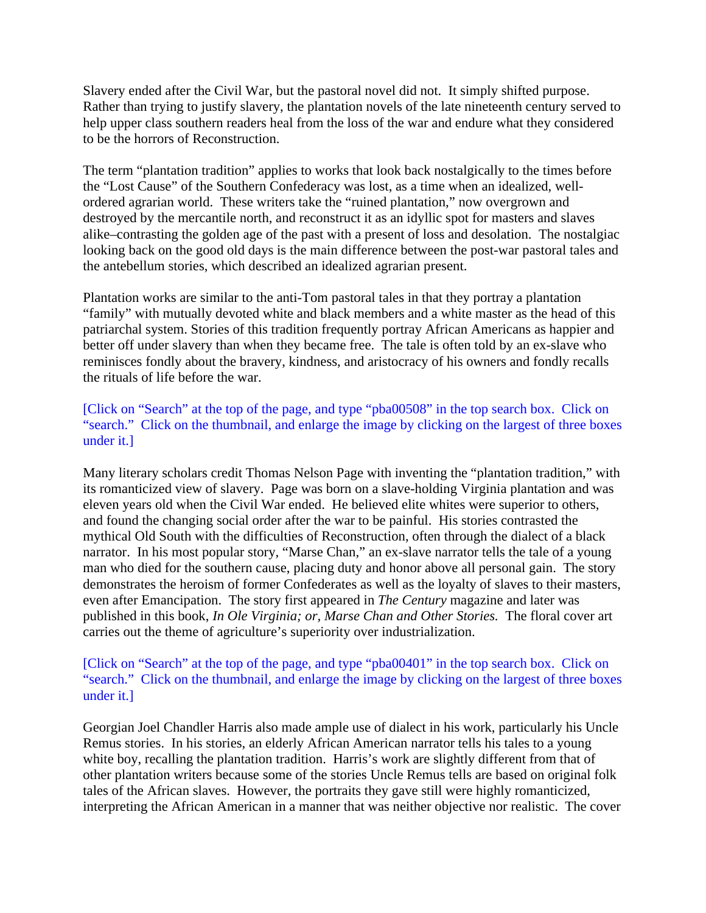Slavery ended after the Civil War, but the pastoral novel did not. It simply shifted purpose. Rather than trying to justify slavery, the plantation novels of the late nineteenth century served to help upper class southern readers heal from the loss of the war and endure what they considered to be the horrors of Reconstruction.

The term "plantation tradition" applies to works that look back nostalgically to the times before the "Lost Cause" of the Southern Confederacy was lost, as a time when an idealized, wellordered agrarian world. These writers take the "ruined plantation," now overgrown and destroyed by the mercantile north, and reconstruct it as an idyllic spot for masters and slaves alike–contrasting the golden age of the past with a present of loss and desolation. The nostalgiac looking back on the good old days is the main difference between the post-war pastoral tales and the antebellum stories, which described an idealized agrarian present.

Plantation works are similar to the anti-Tom pastoral tales in that they portray a plantation "family" with mutually devoted white and black members and a white master as the head of this patriarchal system. Stories of this tradition frequently portray African Americans as happier and better off under slavery than when they became free. The tale is often told by an ex-slave who reminisces fondly about the bravery, kindness, and aristocracy of his owners and fondly recalls the rituals of life before the war.

[Click on "Search" at the top of the page, and type "pba00508" in the top search box. Click on "search." Click on the thumbnail, and enlarge the image by clicking on the largest of three boxes under it.]

Many literary scholars credit Thomas Nelson Page with inventing the "plantation tradition," with its romanticized view of slavery. Page was born on a slave-holding Virginia plantation and was eleven years old when the Civil War ended. He believed elite whites were superior to others, and found the changing social order after the war to be painful. His stories contrasted the mythical Old South with the difficulties of Reconstruction, often through the dialect of a black narrator. In his most popular story, "Marse Chan," an ex-slave narrator tells the tale of a young man who died for the southern cause, placing duty and honor above all personal gain. The story demonstrates the heroism of former Confederates as well as the loyalty of slaves to their masters, even after Emancipation. The story first appeared in *The Century* magazine and later was published in this book, *In Ole Virginia; or, Marse Chan and Other Stories.* The floral cover art carries out the theme of agriculture's superiority over industrialization.

[Click on "Search" at the top of the page, and type "pba00401" in the top search box. Click on "search." Click on the thumbnail, and enlarge the image by clicking on the largest of three boxes under it.]

Georgian Joel Chandler Harris also made ample use of dialect in his work, particularly his Uncle Remus stories. In his stories, an elderly African American narrator tells his tales to a young white boy, recalling the plantation tradition. Harris's work are slightly different from that of other plantation writers because some of the stories Uncle Remus tells are based on original folk tales of the African slaves. However, the portraits they gave still were highly romanticized, interpreting the African American in a manner that was neither objective nor realistic. The cover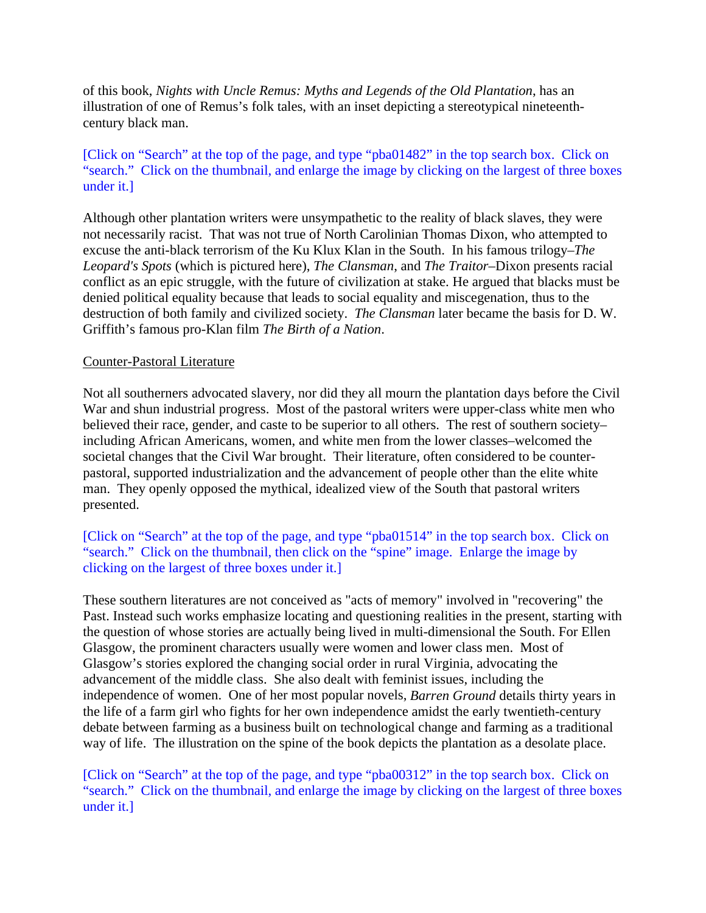of this book, *Nights with Uncle Remus: Myths and Legends of the Old Plantation*, has an illustration of one of Remus's folk tales, with an inset depicting a stereotypical nineteenthcentury black man.

[Click on "Search" at the top of the page, and type "pba01482" in the top search box. Click on "search." Click on the thumbnail, and enlarge the image by clicking on the largest of three boxes under it.]

Although other plantation writers were unsympathetic to the reality of black slaves, they were not necessarily racist. That was not true of North Carolinian Thomas Dixon, who attempted to excuse the anti-black terrorism of the Ku Klux Klan in the South. In his famous trilogy–*The Leopard's Spots* (which is pictured here), *The Clansman*, and *The Traitor*–Dixon presents racial conflict as an epic struggle, with the future of civilization at stake. He argued that blacks must be denied political equality because that leads to social equality and miscegenation, thus to the destruction of both family and civilized society. *The Clansman* later became the basis for D. W. Griffith's famous pro-Klan film *The Birth of a Nation*.

#### Counter-Pastoral Literature

Not all southerners advocated slavery, nor did they all mourn the plantation days before the Civil War and shun industrial progress. Most of the pastoral writers were upper-class white men who believed their race, gender, and caste to be superior to all others. The rest of southern society– including African Americans, women, and white men from the lower classes–welcomed the societal changes that the Civil War brought. Their literature, often considered to be counterpastoral, supported industrialization and the advancement of people other than the elite white man. They openly opposed the mythical, idealized view of the South that pastoral writers presented.

# [Click on "Search" at the top of the page, and type "pba01514" in the top search box. Click on "search." Click on the thumbnail, then click on the "spine" image. Enlarge the image by clicking on the largest of three boxes under it.]

These southern literatures are not conceived as "acts of memory" involved in "recovering" the Past. Instead such works emphasize locating and questioning realities in the present, starting with the question of whose stories are actually being lived in multi-dimensional the South. For Ellen Glasgow, the prominent characters usually were women and lower class men. Most of Glasgow's stories explored the changing social order in rural Virginia, advocating the advancement of the middle class. She also dealt with feminist issues, including the independence of women. One of her most popular novels, *Barren Ground* details thirty years in the life of a farm girl who fights for her own independence amidst the early twentieth-century debate between farming as a business built on technological change and farming as a traditional way of life. The illustration on the spine of the book depicts the plantation as a desolate place.

[Click on "Search" at the top of the page, and type "pba00312" in the top search box. Click on "search." Click on the thumbnail, and enlarge the image by clicking on the largest of three boxes under it.]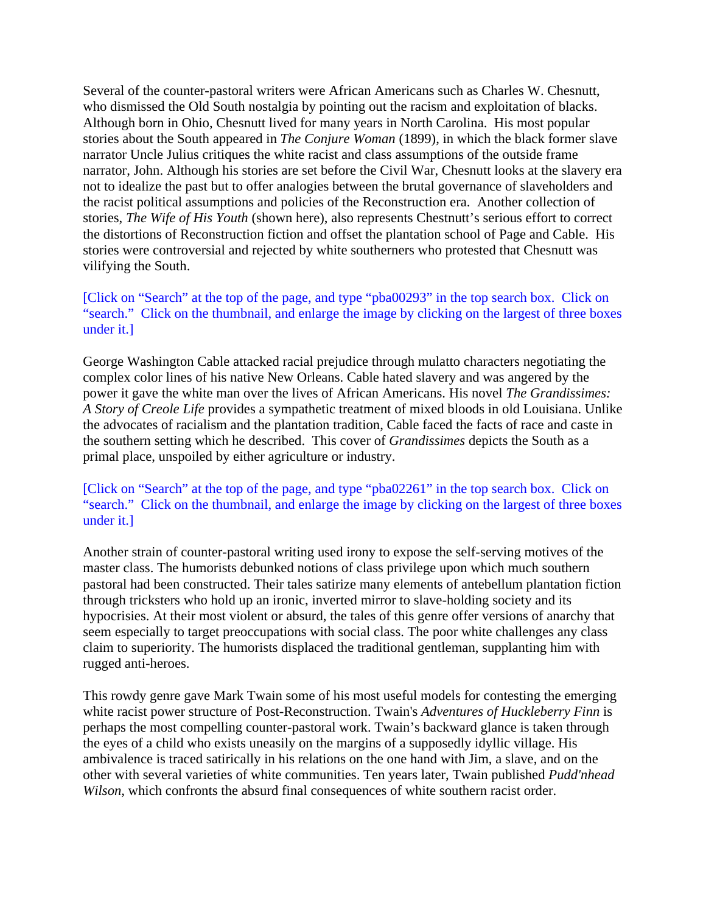Several of the counter-pastoral writers were African Americans such as Charles W. Chesnutt, who dismissed the Old South nostalgia by pointing out the racism and exploitation of blacks. Although born in Ohio, Chesnutt lived for many years in North Carolina. His most popular stories about the South appeared in *The Conjure Woman* (1899), in which the black former slave narrator Uncle Julius critiques the white racist and class assumptions of the outside frame narrator, John. Although his stories are set before the Civil War, Chesnutt looks at the slavery era not to idealize the past but to offer analogies between the brutal governance of slaveholders and the racist political assumptions and policies of the Reconstruction era. Another collection of stories, *The Wife of His Youth* (shown here), also represents Chestnutt's serious effort to correct the distortions of Reconstruction fiction and offset the plantation school of Page and Cable. His stories were controversial and rejected by white southerners who protested that Chesnutt was vilifying the South.

# [Click on "Search" at the top of the page, and type "pba00293" in the top search box. Click on "search." Click on the thumbnail, and enlarge the image by clicking on the largest of three boxes under it.]

George Washington Cable attacked racial prejudice through mulatto characters negotiating the complex color lines of his native New Orleans. Cable hated slavery and was angered by the power it gave the white man over the lives of African Americans. His novel *The Grandissimes: A Story of Creole Life* provides a sympathetic treatment of mixed bloods in old Louisiana. Unlike the advocates of racialism and the plantation tradition, Cable faced the facts of race and caste in the southern setting which he described. This cover of *Grandissimes* depicts the South as a primal place, unspoiled by either agriculture or industry.

# [Click on "Search" at the top of the page, and type "pba02261" in the top search box. Click on "search." Click on the thumbnail, and enlarge the image by clicking on the largest of three boxes under it.]

Another strain of counter-pastoral writing used irony to expose the self-serving motives of the master class. The humorists debunked notions of class privilege upon which much southern pastoral had been constructed. Their tales satirize many elements of antebellum plantation fiction through tricksters who hold up an ironic, inverted mirror to slave-holding society and its hypocrisies. At their most violent or absurd, the tales of this genre offer versions of anarchy that seem especially to target preoccupations with social class. The poor white challenges any class claim to superiority. The humorists displaced the traditional gentleman, supplanting him with rugged anti-heroes.

This rowdy genre gave Mark Twain some of his most useful models for contesting the emerging white racist power structure of Post-Reconstruction. Twain's *Adventures of Huckleberry Finn* is perhaps the most compelling counter-pastoral work. Twain's backward glance is taken through the eyes of a child who exists uneasily on the margins of a supposedly idyllic village. His ambivalence is traced satirically in his relations on the one hand with Jim, a slave, and on the other with several varieties of white communities. Ten years later, Twain published *Pudd'nhead Wilson*, which confronts the absurd final consequences of white southern racist order.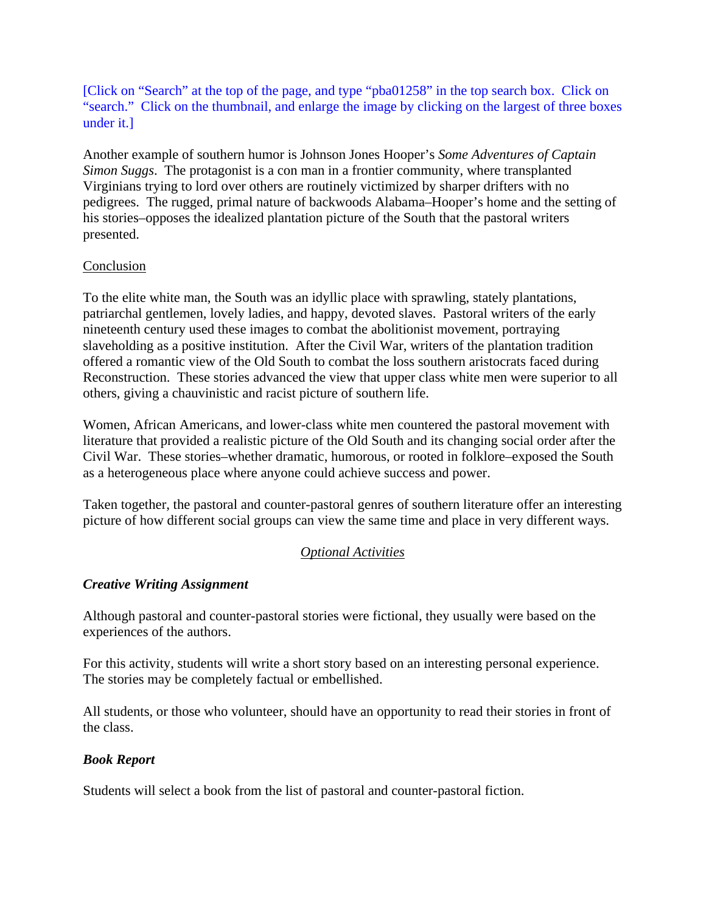[Click on "Search" at the top of the page, and type "pba01258" in the top search box. Click on "search." Click on the thumbnail, and enlarge the image by clicking on the largest of three boxes under it.]

Another example of southern humor is Johnson Jones Hooper's *Some Adventures of Captain Simon Suggs*. The protagonist is a con man in a frontier community, where transplanted Virginians trying to lord over others are routinely victimized by sharper drifters with no pedigrees. The rugged, primal nature of backwoods Alabama–Hooper's home and the setting of his stories–opposes the idealized plantation picture of the South that the pastoral writers presented.

### **Conclusion**

To the elite white man, the South was an idyllic place with sprawling, stately plantations, patriarchal gentlemen, lovely ladies, and happy, devoted slaves. Pastoral writers of the early nineteenth century used these images to combat the abolitionist movement, portraying slaveholding as a positive institution. After the Civil War, writers of the plantation tradition offered a romantic view of the Old South to combat the loss southern aristocrats faced during Reconstruction. These stories advanced the view that upper class white men were superior to all others, giving a chauvinistic and racist picture of southern life.

Women, African Americans, and lower-class white men countered the pastoral movement with literature that provided a realistic picture of the Old South and its changing social order after the Civil War. These stories–whether dramatic, humorous, or rooted in folklore–exposed the South as a heterogeneous place where anyone could achieve success and power.

Taken together, the pastoral and counter-pastoral genres of southern literature offer an interesting picture of how different social groups can view the same time and place in very different ways.

# *Optional Activities*

# *Creative Writing Assignment*

Although pastoral and counter-pastoral stories were fictional, they usually were based on the experiences of the authors.

For this activity, students will write a short story based on an interesting personal experience. The stories may be completely factual or embellished.

All students, or those who volunteer, should have an opportunity to read their stories in front of the class.

# *Book Report*

Students will select a book from the list of pastoral and counter-pastoral fiction.